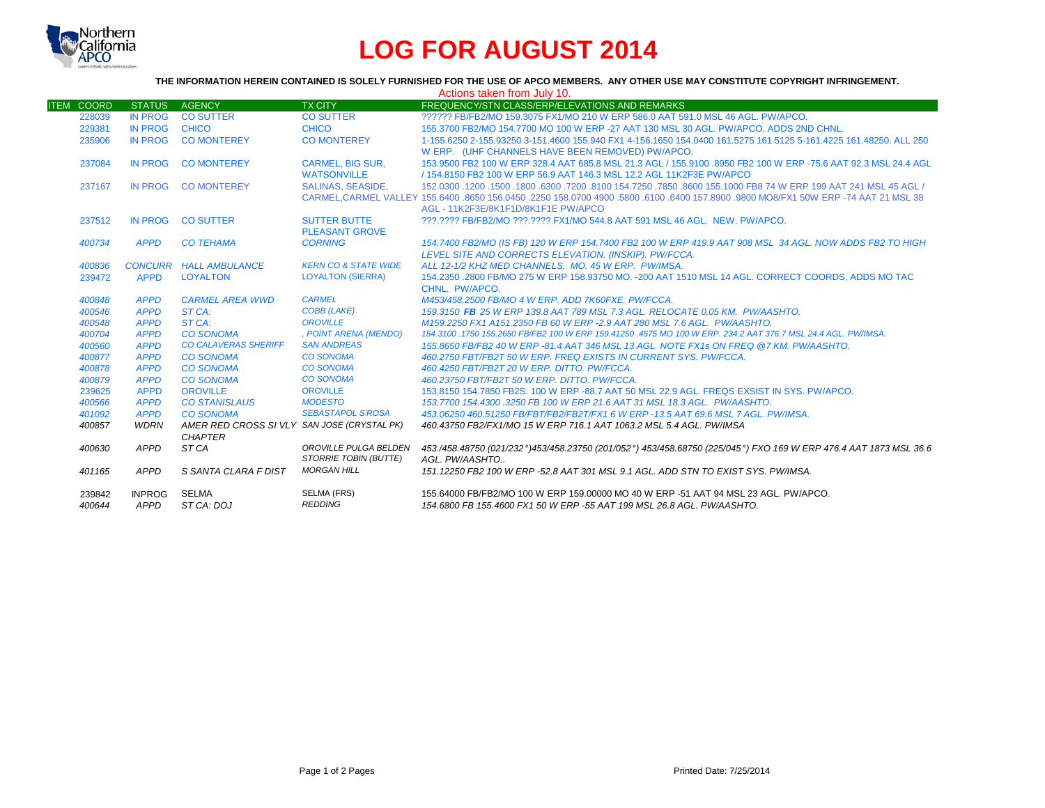

# **LOG FOR AUGUST 2014**

### **THE INFORMATION HEREIN CONTAINED IS SOLELY FURNISHED FOR THE USE OF APCO MEMBERS. ANY OTHER USE MAY CONSTITUTE COPYRIGHT INFRINGEMENT.**

|                   | Actions taken from July 10. |                                             |                                 |                                                                                                                                |  |  |  |  |
|-------------------|-----------------------------|---------------------------------------------|---------------------------------|--------------------------------------------------------------------------------------------------------------------------------|--|--|--|--|
| <b>ITEM COORD</b> | <b>STATUS</b>               | <b>AGENCY</b>                               | <b>TX CITY</b>                  | FREQUENCY/STN CLASS/ERP/ELEVATIONS AND REMARKS                                                                                 |  |  |  |  |
| 228039            | <b>IN PROG</b>              | <b>CO SUTTER</b>                            | <b>CO SUTTER</b>                | 222222 FB/FB2/MO 159.3075 FX1/MO 210 W ERP 586.0 AAT 591.0 MSL 46 AGL, PW/APCO.                                                |  |  |  |  |
| 229381            | <b>IN PROG</b>              | <b>CHICO</b>                                | <b>CHICO</b>                    | 155.3700 FB2/MO 154.7700 MO 100 W ERP -27 AAT 130 MSL 30 AGL, PW/APCO, ADDS 2ND CHNL.                                          |  |  |  |  |
| 235906            | <b>IN PROG</b>              | <b>CO MONTEREY</b>                          | <b>CO MONTEREY</b>              | 1-155.6250 2-155.93250 3-151.4600 155.940 FX1 4-156.1650 154.0400 161.5275 161.5125 5-161.4225 161.48250, ALL 250              |  |  |  |  |
|                   |                             |                                             |                                 | W ERP. (UHF CHANNELS HAVE BEEN REMOVED) PW/APCO.                                                                               |  |  |  |  |
| 237084            | <b>IN PROG</b>              | <b>CO MONTEREY</b>                          | <b>CARMEL, BIG SUR.</b>         | 153,9500 FB2 100 W ERP 328.4 AAT 685.8 MSL 21.3 AGL / 155,9100 .8950 FB2 100 W ERP -75.6 AAT 92.3 MSL 24.4 AGL                 |  |  |  |  |
|                   |                             |                                             | <b>WATSONVILLE</b>              | / 154.8150 FB2 100 W ERP 56.9 AAT 146.3 MSL 12.2 AGL 11K2F3E PW/APCO                                                           |  |  |  |  |
| 237167            | IN PROG                     | <b>CO MONTEREY</b>                          | <b>SALINAS, SEASIDE.</b>        | 152,0300 1200 .1500 .1800 .6300 .7200 .8100 154.7250 .7850 .8600 155.1000 FB8 74 W ERP 199 AAT 241 MSL 45 AGL /                |  |  |  |  |
|                   |                             |                                             |                                 | CARMEL.CARMEL VALLEY 155,6400,8650 156,0450,2250 158,0700 4900,5800,6100 05400 157,8900,9800 MO8/FX1 50W ERP -74 AAT 21 MSL 38 |  |  |  |  |
|                   |                             |                                             |                                 | AGL - 11K2F3E/8K1F1D/8K1F1E PW/APCO                                                                                            |  |  |  |  |
| 237512            | <b>IN PROG</b>              | <b>CO SUTTER</b>                            | <b>SUTTER BUTTE</b>             | ???.???? FB/FB2/MO ???.???? FX1/MO 544.8 AAT 591 MSL 46 AGL. NEW. PW/APCO.                                                     |  |  |  |  |
|                   |                             |                                             | <b>PLEASANT GROVE</b>           |                                                                                                                                |  |  |  |  |
| 400734            | <b>APPD</b>                 | <b>CO TEHAMA</b>                            | <b>CORNING</b>                  | 154.7400 FB2/MO (IS FB) 120 W ERP 154.7400 FB2 100 W ERP 419.9 AAT 908 MSL 34 AGL. NOW ADDS FB2 TO HIGH                        |  |  |  |  |
|                   |                             |                                             |                                 | LEVEL SITE AND CORRECTS ELEVATION. (INSKIP). PW/FCCA.                                                                          |  |  |  |  |
| 400836            |                             | <b>CONCURR HALL AMBULANCE</b>               | <b>KERN CO &amp; STATE WIDE</b> | ALL 12-1/2 KHZ MED CHANNELS. MO. 45 W ERP. PW/IMSA.                                                                            |  |  |  |  |
| 239472            | <b>APPD</b>                 | <b>LOYALTON</b>                             | <b>LOYALTON (SIERRA)</b>        | 154,2350,2800 FB/MO 275 W ERP 158,93750 MO, -200 AAT 1510 MSL 14 AGL, CORRECT COORDS, ADDS MO TAC                              |  |  |  |  |
|                   |                             |                                             |                                 | CHNL. PW/APCO.                                                                                                                 |  |  |  |  |
| 400848            | <b>APPD</b>                 | <b>CARMEL AREA WWD</b>                      | <b>CARMEL</b>                   | M453/458.2500 FB/MO 4 W ERP. ADD 7K60FXE. PW/FCCA.                                                                             |  |  |  |  |
| 400546            | <b>APPD</b>                 | ST CA:                                      | <b>COBB (LAKE)</b>              | 159.3150 FB 25 W ERP 139.8 AAT 789 MSL 7.3 AGL. RELOCATE 0.05 KM. PW/AASHTO.                                                   |  |  |  |  |
| 400548            | <b>APPD</b>                 | ST CA:                                      | <b>OROVILLE</b>                 | M159.2250 FX1 A151.2350 FB 60 W ERP -2.9 AAT 280 MSL 7.6 AGL. PW/AASHTO.                                                       |  |  |  |  |
| 400704            | <b>APPD</b>                 | <b>CO SONOMA</b>                            | , POINT ARENA (MENDO)           | 154,3100 .1750 155,2650 FB/FB2 100 W ERP 159,41250 .4575 MO 100 W ERP, 234,2 AAT 376,7 MSL 24.4 AGL, PW/IMSA,                  |  |  |  |  |
| 400560            | <b>APPD</b>                 | <b>CO CALAVERAS SHERIFF</b>                 | <b>SAN ANDREAS</b>              | 155,8650 FB/FB2 40 W ERP -81.4 AAT 346 MSL 13 AGL, NOTE FX1s ON FREQ @7 KM, PW/AASHTO.                                         |  |  |  |  |
| 400877            | <b>APPD</b>                 | <b>CO SONOMA</b>                            | <b>CO SONOMA</b>                | 460.2750 FBT/FB2T 50 W ERP. FREQ EXISTS IN CURRENT SYS. PW/FCCA.                                                               |  |  |  |  |
| 400878            | <b>APPD</b>                 | <b>CO SONOMA</b>                            | <b>CO SONOMA</b>                | 460.4250 FBT/FB2T 20 W ERP. DITTO. PW/FCCA.                                                                                    |  |  |  |  |
| 400879            | <b>APPD</b>                 | <b>CO SONOMA</b>                            | <b>CO SONOMA</b>                | 460.23750 FBT/FB2T 50 W ERP. DITTO. PW/FCCA.                                                                                   |  |  |  |  |
| 239625            | <b>APPD</b>                 | <b>OROVILLE</b>                             | <b>OROVILLE</b>                 | 153.8150 154.7850 FB2S. 100 W ERP -88.7 AAT 50 MSL 22.9 AGL. FREQS EXSIST IN SYS. PW/APCO.                                     |  |  |  |  |
| 400566            | <b>APPD</b>                 | <b>CO STANISLAUS</b>                        | <b>MODESTO</b>                  | 153.7700 154.4300 .3250 FB 100 W ERP 21.6 AAT 31 MSL 18.3 AGL. PW/AASHTO.                                                      |  |  |  |  |
| 401092            | <b>APPD</b>                 | <b>CO SONOMA</b>                            | <b>SEBASTAPOL S'ROSA</b>        | 453.06250 460.51250 FB/FBT/FB2/FB2T/FX1 6 W ERP -13.5 AAT 69.6 MSL 7 AGL, PW/IMSA,                                             |  |  |  |  |
| 400857            | <b>WDRN</b>                 | AMER RED CROSS SI VLY SAN JOSE (CRYSTAL PK) |                                 | 460.43750 FB2/FX1/MO 15 W ERP 716.1 AAT 1063.2 MSL 5.4 AGL, PW/IMSA                                                            |  |  |  |  |
|                   |                             | <b>CHAPTER</b>                              |                                 |                                                                                                                                |  |  |  |  |
| 400630            | APPD                        | ST <sub>CA</sub>                            | OROVILLE PULGA BELDEN           | 453./458.48750 (021/232°)453/458.23750 (201/052°) 453/458.68750 (225/045°) FXO 169 W ERP 476.4 AAT 1873 MSL 36.6               |  |  |  |  |
|                   |                             |                                             | <b>STORRIE TOBIN (BUTTE)</b>    | AGL. PW/AASHTO                                                                                                                 |  |  |  |  |
| 401165            | <b>APPD</b>                 | S SANTA CLARA F DIST                        | <b>MORGAN HILL</b>              | 151.12250 FB2 100 W ERP -52.8 AAT 301 MSL 9.1 AGL. ADD STN TO EXIST SYS. PW/IMSA.                                              |  |  |  |  |
| 239842            | <b>INPROG</b>               | <b>SELMA</b>                                | SELMA (FRS)                     | 155,64000 FB/FB2/MO 100 W ERP 159,00000 MO 40 W ERP -51 AAT 94 MSL 23 AGL. PW/APCO.                                            |  |  |  |  |
| 400644            | APPD                        | ST CA: DOJ                                  | <b>REDDING</b>                  | 154.6800 FB 155.4600 FX1 50 W ERP -55 AAT 199 MSL 26.8 AGL, PW/AASHTO.                                                         |  |  |  |  |
|                   |                             |                                             |                                 |                                                                                                                                |  |  |  |  |